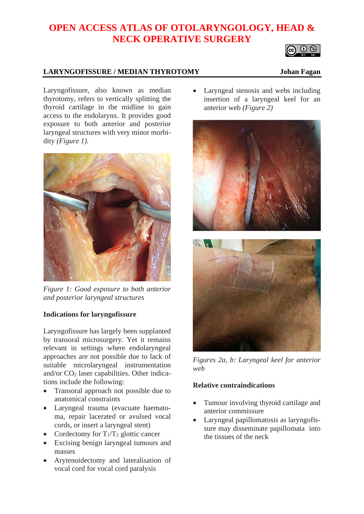# **OPEN ACCESS ATLAS OF OTOLARYNGOLOGY, HEAD & NECK OPERATIVE SURGERY**

## **LARYNGOFISSURE / MEDIAN THYROTOMY Johan Fagan**

Laryngofissure, also known as median thyrotomy, refers to vertically splitting the thyroid cartilage in the midline to gain access to the endolarynx. It provides good exposure to both anterior and posterior laryngeal structures with very minor morbidity *(Figure 1).*



*Figure 1: Good exposure to both anterior and posterior laryngeal structures*

### **Indications for laryngofissure**

Laryngofissure has largely been supplanted by transoral microsurgery. Yet it remains relevant in settings where endolaryngeal approaches are not possible due to lack of suitable microlaryngeal instrumentation and/or  $CO<sub>2</sub>$  laser capabilities. Other indications include the following:

- Transoral approach not possible due to anatomical constraints
- Laryngeal trauma (evacuate haematoma, repair lacerated or avulsed vocal cords, or insert a laryngeal stent)
- Cordectomy for  $T_1/T_2$  glottic cancer
- Excising benign laryngeal tumours and masses
- Arytenoidectomy and lateralisation of vocal cord for vocal cord paralysis

• Laryngeal stenosis and webs including insertion of a laryngeal keel for an anterior web *(Figure 2)*





*Figures 2a, b: Laryngeal keel for anterior web*

### **Relative contraindications**

- Tumour involving thyroid cartilage and anterior commissure
- Laryngeal papillomatosis as laryngofissure may disseminate papillomata into the tissues of the neck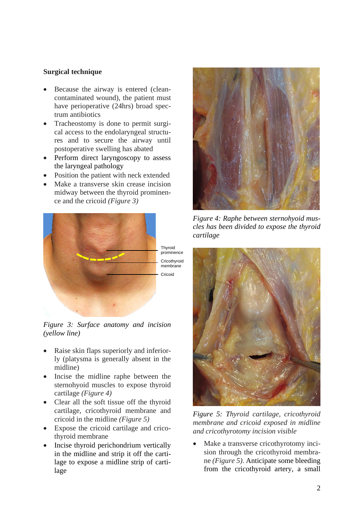### **Surgical technique**

- Because the airway is entered (cleancontaminated wound), the patient must have perioperative (24hrs) broad spectrum antibiotics
- Tracheostomy is done to permit surgical access to the endolaryngeal structures and to secure the airway until postoperative swelling has abated
- Perform direct laryngoscopy to assess the laryngeal pathology
- Position the patient with neck extended
- Make a transverse skin crease incision midway between the thyroid prominence and the cricoid *(Figure 3)*



*Figure 3: Surface anatomy and incision (yellow line)*

- Raise skin flaps superiorly and inferiorly (platysma is generally absent in the midline)
- Incise the midline raphe between the sternohyoid muscles to expose thyroid cartilage *(Figure 4)*
- Clear all the soft tissue off the thyroid cartilage, cricothyroid membrane and cricoid in the midline *(Figure 5)*
- Expose the cricoid cartilage and cricothyroid membrane
- Incise thyroid perichondrium vertically in the midline and strip it off the cartilage to expose a midline strip of cartilage



*Figure 4: Raphe between sternohyoid muscles has been divided to expose the thyroid cartilage*



*Figure 5: Thyroid cartilage, cricothyroid membrane and cricoid exposed in midline and cricothyrotomy incision visible*

• Make a transverse cricothyrotomy incision through the cricothyroid membrane *(Figure 5)*. Anticipate some bleeding from the cricothyroid artery, a small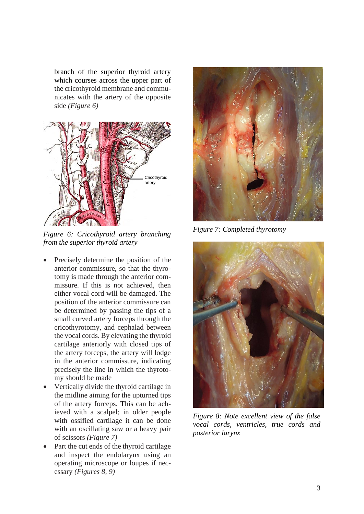branch of the superior thyroid artery which courses across the upper part of the cricothyroid membrane and communicates with the artery of the opposite side *(Figure 6)*



*Figure 6: Cricothyroid artery branching from the superior thyroid artery*

- Precisely determine the position of the anterior commissure, so that the thyrotomy is made through the anterior commissure. If this is not achieved, then either vocal cord will be damaged. The position of the anterior commissure can be determined by passing the tips of a small curved artery forceps through the cricothyrotomy, and cephalad between the vocal cords. By elevating the thyroid cartilage anteriorly with closed tips of the artery forceps, the artery will lodge in the anterior commissure, indicating precisely the line in which the thyrotomy should be made
- Vertically divide the thyroid cartilage in the midline aiming for the upturned tips of the artery forceps. This can be achieved with a scalpel; in older people with ossified cartilage it can be done with an oscillating saw or a heavy pair of scissors *(Figure 7)*
- Part the cut ends of the thyroid cartilage and inspect the endolarynx using an operating microscope or loupes if necessary *(Figures 8, 9)*



*Figure 7: Completed thyrotomy*



*Figure 8: Note excellent view of the false vocal cords, ventricles, true cords and posterior larynx*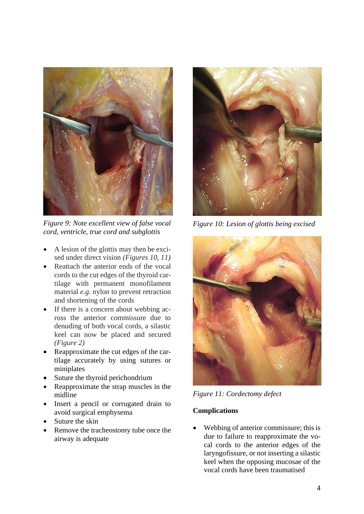

*Figure 9: Note excellent view of false vocal cord, ventricle, true cord and subglottis*

- A lesion of the glottis may then be excised under direct vision *(Figures 10, 11)*
- Reattach the anterior ends of the vocal cords to the cut edges of the thyroid cartilage with permanent monofilament material *e.g.* nylon to prevent retraction and shortening of the cords
- If there is a concern about webbing across the anterior commissure due to denuding of both vocal cords, a silastic keel can now be placed and secured *(Figure 2)*
- Reapproximate the cut edges of the cartilage accurately by using sutures or miniplates
- Suture the thyroid perichondrium
- Reapproximate the strap muscles in the midline
- Insert a pencil or corrugated drain to avoid surgical emphysema
- Suture the skin
- Remove the tracheostomy tube once the airway is adequate



*Figure 10: Lesion of glottis being excised*



*Figure 11: Cordectomy defect*

### **Complications**

• Webbing of anterior commissure; this is due to failure to reapproximate the vocal cords to the anterior edges of the laryngofissure, or not inserting a silastic keel when the opposing mucosae of the vocal cords have been traumatised